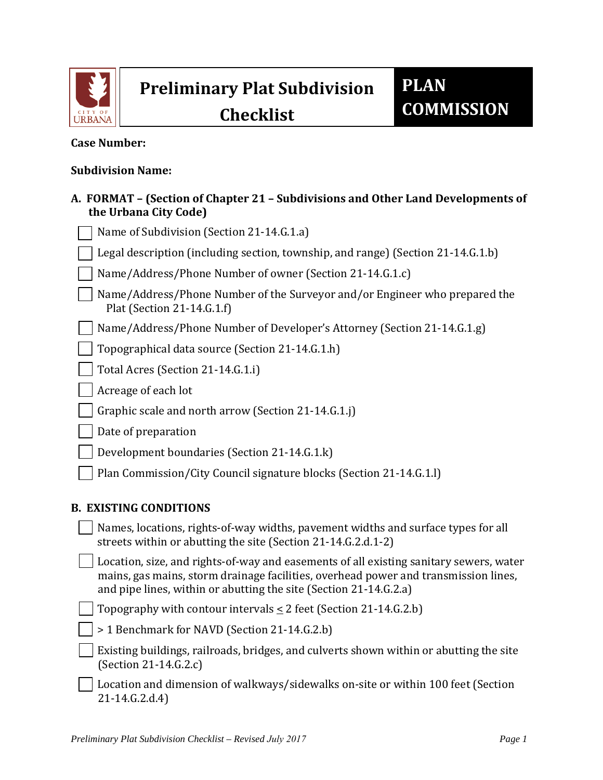

# **Preliminary Plat Subdivision**

**Checklist**

## **Case Number:**

#### **Subdivision Name:**

## **A. FORMAT – (Section of Chapter 21 – Subdivisions and Other Land Developments of the Urbana City Code)**

| Name of Subdivision (Section 21-14.G.1.a)                                                                |
|----------------------------------------------------------------------------------------------------------|
| Legal description (including section, township, and range) (Section 21-14.G.1.b)                         |
| Name/Address/Phone Number of owner (Section 21-14.G.1.c)                                                 |
| Name/Address/Phone Number of the Surveyor and/or Engineer who prepared the<br>Plat (Section 21-14.6.1.f) |
| Name/Address/Phone Number of Developer's Attorney (Section 21-14.G.1.g)                                  |
| Topographical data source (Section 21-14.G.1.h)                                                          |
| Total Acres (Section 21-14.G.1.i)                                                                        |
| Acreage of each lot                                                                                      |
| Graphic scale and north arrow (Section 21-14.G.1.j)                                                      |
| Date of preparation                                                                                      |
| Development boundaries (Section 21-14.G.1.k)                                                             |
| Plan Commission/City Council signature blocks (Section 21-14.G.1.l)                                      |
| <b>B. EXISTING CONDITIONS</b>                                                                            |
| Names, locations, rights-of-way widths, pavement widths and surface types for all                        |

Location, size, and rights-of-way and easements of all existing sanitary sewers, water mains, gas mains, storm drainage facilities, overhead power and transmission lines, and pipe lines, within or abutting the site (Section 21-14.G.2.a)

Topography with contour intervals  $\leq 2$  feet (Section 21-14.G.2.b)

streets within or abutting the site (Section 21-14.G.2.d.1-2)

| > 1 Benchmark for NAVD (Section 21-14.G.2.b) |  |
|----------------------------------------------|--|
|----------------------------------------------|--|

- Existing buildings, railroads, bridges, and culverts shown within or abutting the site (Section 21-14.G.2.c)
- Location and dimension of walkways/sidewalks on-site or within 100 feet (Section 21-14.G.2.d.4)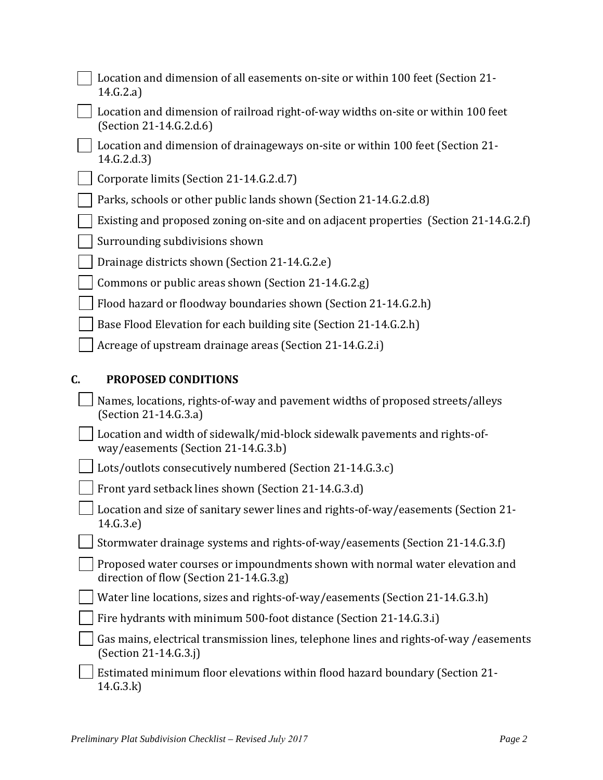|    | Location and dimension of all easements on-site or within 100 feet (Section 21-<br>14.G.2.a)                            |
|----|-------------------------------------------------------------------------------------------------------------------------|
|    | Location and dimension of railroad right-of-way widths on-site or within 100 feet<br>(Section 21-14.G.2.d.6)            |
|    | Location and dimension of drainageways on-site or within 100 feet (Section 21-<br>14.G.2.d.3                            |
|    | Corporate limits (Section 21-14.G.2.d.7)                                                                                |
|    | Parks, schools or other public lands shown (Section 21-14.G.2.d.8)                                                      |
|    | Existing and proposed zoning on-site and on adjacent properties (Section 21-14.G.2.f)                                   |
|    | Surrounding subdivisions shown                                                                                          |
|    | Drainage districts shown (Section 21-14.G.2.e)                                                                          |
|    | Commons or public areas shown (Section 21-14.G.2.g)                                                                     |
|    | Flood hazard or floodway boundaries shown (Section 21-14.G.2.h)                                                         |
|    | Base Flood Elevation for each building site (Section 21-14.G.2.h)                                                       |
|    | Acreage of upstream drainage areas (Section 21-14.G.2.i)                                                                |
| C. | <b>PROPOSED CONDITIONS</b>                                                                                              |
|    | Names, locations, rights-of-way and pavement widths of proposed streets/alleys<br>(Section 21-14.G.3.a)                 |
|    | Location and width of sidewalk/mid-block sidewalk pavements and rights-of-<br>way/easements (Section 21-14.G.3.b)       |
|    | Lots/outlots consecutively numbered (Section 21-14.G.3.c)                                                               |
|    | Front yard setback lines shown (Section 21-14.G.3.d)                                                                    |
|    | Location and size of sanitary sewer lines and rights-of-way/easements (Section 21-<br>14.G.3.e)                         |
|    | Stormwater drainage systems and rights-of-way/easements (Section 21-14.G.3.f)                                           |
|    | Proposed water courses or impoundments shown with normal water elevation and<br>direction of flow (Section 21-14.G.3.g) |
|    | Water line locations, sizes and rights-of-way/easements (Section 21-14.G.3.h)                                           |
|    | Fire hydrants with minimum 500-foot distance (Section 21-14.G.3.i)                                                      |
|    | Gas mains, electrical transmission lines, telephone lines and rights-of-way /easements<br>(Section 21-14.G.3.j)         |
|    | Estimated minimum floor elevations within flood hazard boundary (Section 21-<br>14.G.3.k)                               |